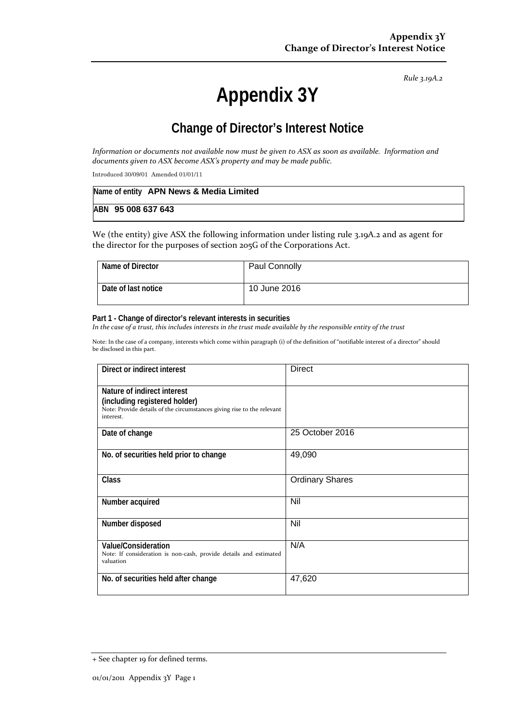*Rule 3.19A.2*

# **Appendix 3Y**

# **Change of Director's Interest Notice**

Information or documents not available now must be given to ASX as soon as available. Information and *documents given to ASX become ASX's property and may be made public.*

Introduced 30/09/01 Amended 01/01/11

| Name of entity APN News & Media Limited |
|-----------------------------------------|
| ABN 95 008 637 643                      |

We (the entity) give ASX the following information under listing rule 3.19A.2 and as agent for the director for the purposes of section 205G of the Corporations Act.

| Name of Director    | Paul Connolly |
|---------------------|---------------|
| Date of last notice | 10 June 2016  |

#### **Part 1 - Change of director's relevant interests in securities**

In the case of a trust, this includes interests in the trust made available by the responsible entity of the trust

Note: In the case of a company, interests which come within paragraph (i) of the definition of "notifiable interest of a director" should be disclosed in this part.

| Direct or indirect interest                                                                                                                         | <b>Direct</b>          |
|-----------------------------------------------------------------------------------------------------------------------------------------------------|------------------------|
| Nature of indirect interest<br>(including registered holder)<br>Note: Provide details of the circumstances giving rise to the relevant<br>interest. |                        |
| Date of change                                                                                                                                      | 25 October 2016        |
| No. of securities held prior to change                                                                                                              | 49,090                 |
| <b>Class</b>                                                                                                                                        | <b>Ordinary Shares</b> |
| Number acquired                                                                                                                                     | Nil                    |
| Number disposed                                                                                                                                     | Nil                    |
| Value/Consideration<br>Note: If consideration is non-cash, provide details and estimated<br>valuation                                               | N/A                    |
| No. of securities held after change                                                                                                                 | 47,620                 |

<sup>+</sup> See chapter 19 for defined terms.